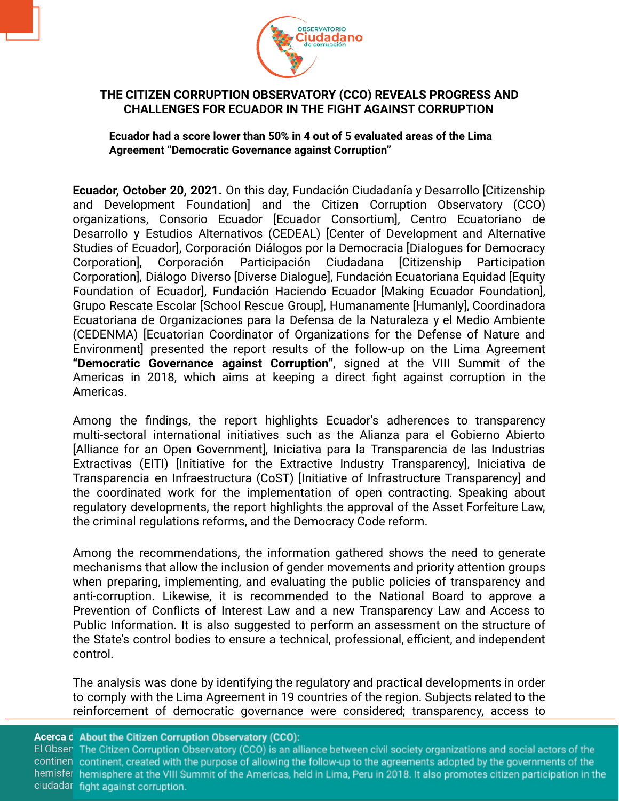

## **THE CITIZEN CORRUPTION OBSERVATORY (CCO) REVEALS PROGRESS AND CHALLENGES FOR ECUADOR IN THE FIGHT AGAINST CORRUPTION**

**Ecuador had a score lower than 50% in 4 out of 5 evaluated areas of the Lima Agreement "Democratic Governance against Corruption"**

**Ecuador, October 20, 2021.** On this day, Fundación Ciudadanía y Desarrollo [Citizenship and Development Foundation] and the Citizen Corruption Observatory (CCO) organizations, Consorio Ecuador [Ecuador Consortium], Centro Ecuatoriano de Desarrollo y Estudios Alternativos (CEDEAL) [Center of Development and Alternative Studies of Ecuador], Corporación Diálogos por la Democracia [Dialogues for Democracy Corporation], Corporación Participación Ciudadana [Citizenship Participation Corporation], Diálogo Diverso [Diverse Dialogue], Fundación Ecuatoriana Equidad [Equity Foundation of Ecuador], Fundación Haciendo Ecuador [Making Ecuador Foundation], Grupo Rescate Escolar [School Rescue Group], Humanamente [Humanly], Coordinadora Ecuatoriana de Organizaciones para la Defensa de la Naturaleza y el Medio Ambiente (CEDENMA) [Ecuatorian Coordinator of Organizations for the Defense of Nature and Environment] presented the report results of the follow-up on the Lima Agreement **"Democratic Governance against Corruption"**, signed at the VIII Summit of the Americas in 2018, which aims at keeping a direct fight against corruption in the Americas.

Among the findings, the report highlights Ecuador's adherences to transparency multi-sectoral international initiatives such as the Alianza para el Gobierno Abierto [Alliance for an Open Government], Iniciativa para la Transparencia de las Industrias Extractivas (EITI) [Initiative for the Extractive Industry Transparency], Iniciativa de Transparencia en Infraestructura (CoST) [Initiative of Infrastructure Transparency] and the coordinated work for the implementation of open contracting. Speaking about regulatory developments, the report highlights the approval of the Asset Forfeiture Law, the criminal regulations reforms, and the Democracy Code reform.

Among the recommendations, the information gathered shows the need to generate mechanisms that allow the inclusion of gender movements and priority attention groups when preparing, implementing, and evaluating the public policies of transparency and anti-corruption. Likewise, it is recommended to the National Board to approve a Prevention of Conflicts of Interest Law and a new Transparency Law and Access to Public Information. It is also suggested to perform an assessment on the structure of the State's control bodies to ensure a technical, professional, efficient, and independent control.

The analysis was done by identifying the regulatory and practical developments in order to comply with the Lima Agreement in 19 countries of the region. Subjects related to the reinforcement of democratic governance were considered; transparency, access to

Acerca d About the Citizen Corruption Observatory (CCO):

El Obser The Citizen Corruption Observatory (CCO) is an alliance between civil society organizations and social actors of the continen continent, created with the purpose of allowing the follow-up to the agreements adopted by the governments of the hemisfer hemisphere at the VIII Summit of the Americas, held in Lima, Peru in 2018. It also promotes citizen participation in the ciudadar fight against corruption.